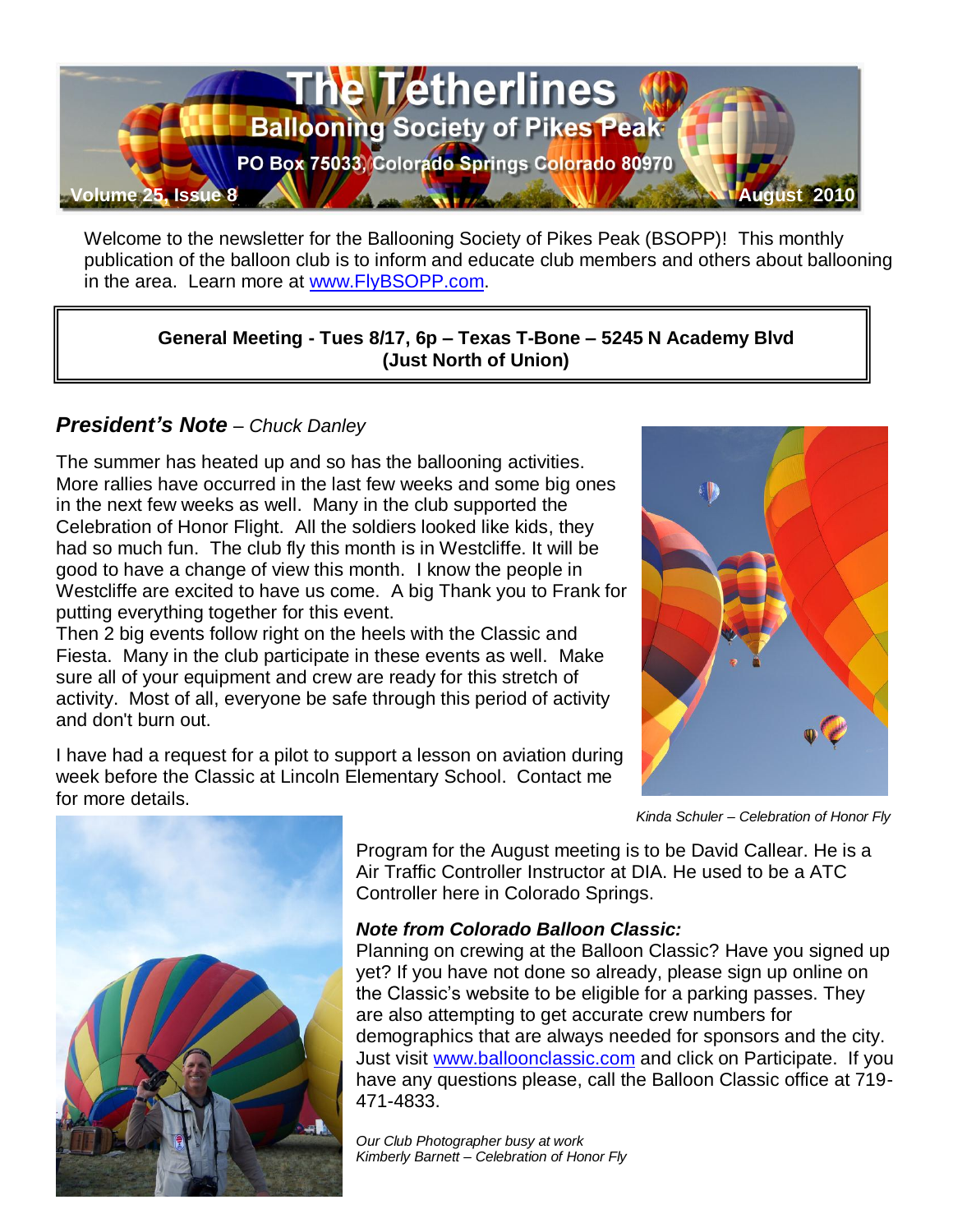

Welcome to the newsletter for the Ballooning Society of Pikes Peak (BSOPP)! This monthly publication of the balloon club is to inform and educate club members and others about ballooning in the area. Learn more at [www.FlyBSOPP.com.](http://www.flybsopp.com/)

**General Meeting - Tues 8/17, 6p – Texas T-Bone – 5245 N Academy Blvd (Just North of Union)** 

# *President's Note – Chuck Danley*

The summer has heated up and so has the ballooning activities. More rallies have occurred in the last few weeks and some big ones in the next few weeks as well. Many in the club supported the Celebration of Honor Flight. All the soldiers looked like kids, they had so much fun. The club fly this month is in Westcliffe. It will be good to have a change of view this month. I know the people in Westcliffe are excited to have us come. A big Thank you to Frank for putting everything together for this event.

Then 2 big events follow right on the heels with the Classic and Fiesta. Many in the club participate in these events as well. Make sure all of your equipment and crew are ready for this stretch of activity. Most of all, everyone be safe through this period of activity and don't burn out.

I have had a request for a pilot to support a lesson on aviation during week before the Classic at Lincoln Elementary School. Contact me for more details.



*Kinda Schuler – Celebration of Honor Fly*



Program for the August meeting is to be David Callear. He is a Air Traffic Controller Instructor at DIA. He used to be a ATC Controller here in Colorado Springs.

#### *Note from Colorado Balloon Classic:*

Planning on crewing at the Balloon Classic? Have you signed up yet? If you have not done so already, please sign up online on the Classic's website to be eligible for a parking passes. They are also attempting to get accurate crew numbers for demographics that are always needed for sponsors and the city. Just visit [www.balloonclassic.com](http://www.balloonclassic.com/) and click on Participate. If you have any questions please, call the Balloon Classic office at 719- 471-4833.

*Our Club Photographer busy at work Kimberly Barnett – Celebration of Honor Fly*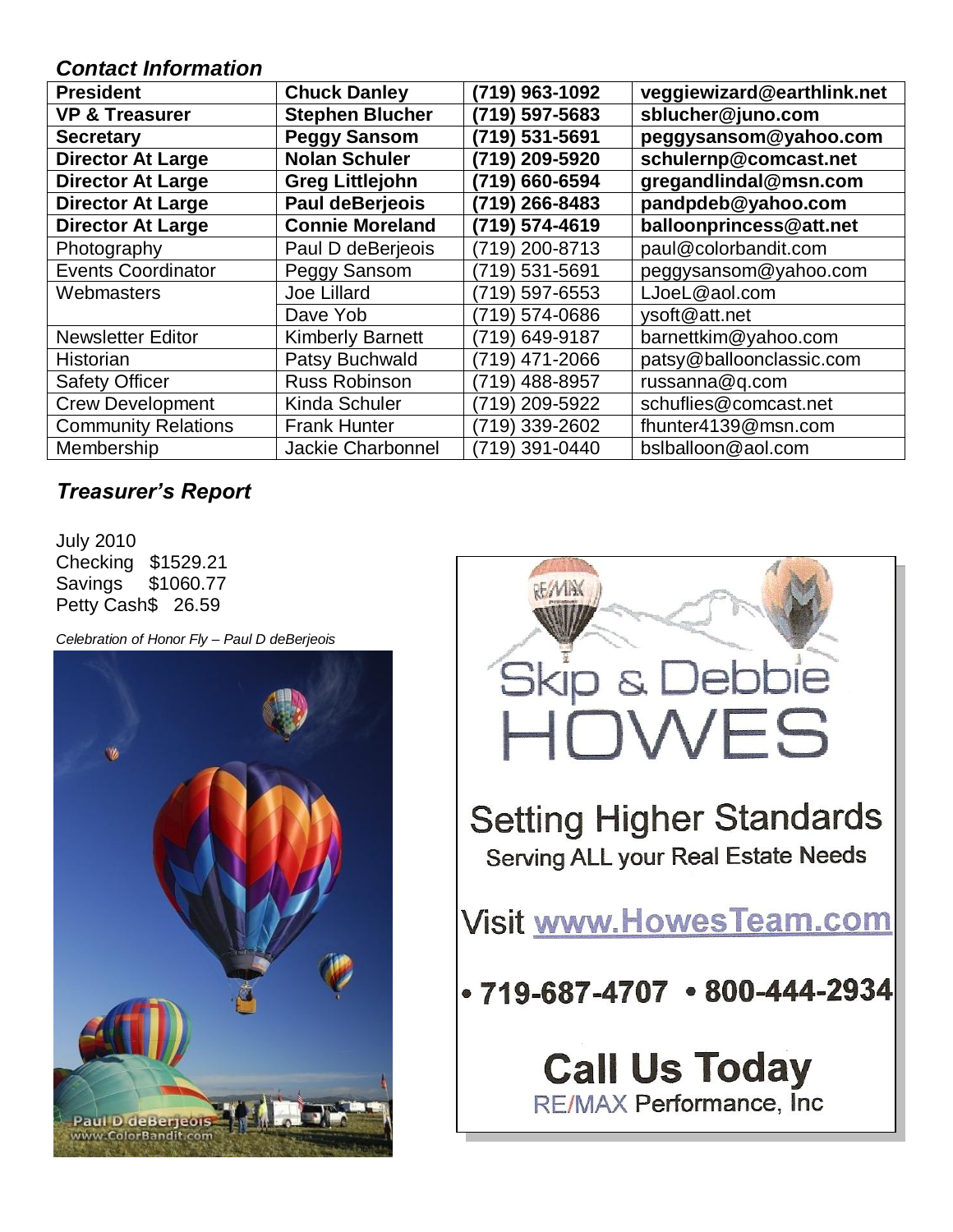### *Contact Information*

| <b>President</b>           | <b>Chuck Danley</b>     | (719) 963-1092 | veggiewizard@earthlink.net |  |  |
|----------------------------|-------------------------|----------------|----------------------------|--|--|
| <b>VP &amp; Treasurer</b>  | <b>Stephen Blucher</b>  | (719) 597-5683 | sblucher@juno.com          |  |  |
| <b>Secretary</b>           | <b>Peggy Sansom</b>     | (719) 531-5691 | peggysansom@yahoo.com      |  |  |
| <b>Director At Large</b>   | <b>Nolan Schuler</b>    | (719) 209-5920 | schulernp@comcast.net      |  |  |
| <b>Director At Large</b>   | <b>Greg Littlejohn</b>  | (719) 660-6594 | gregandlindal@msn.com      |  |  |
| <b>Director At Large</b>   | <b>Paul deBerjeois</b>  | (719) 266-8483 | pandpdeb@yahoo.com         |  |  |
| <b>Director At Large</b>   | <b>Connie Moreland</b>  | (719) 574-4619 | balloonprincess@att.net    |  |  |
| Photography                | Paul D deBerjeois       | (719) 200-8713 | paul@colorbandit.com       |  |  |
| <b>Events Coordinator</b>  | Peggy Sansom            | (719) 531-5691 | peggysansom@yahoo.com      |  |  |
| Webmasters                 | <b>Joe Lillard</b>      | (719) 597-6553 | LJoeL@aol.com              |  |  |
|                            | Dave Yob                | (719) 574-0686 | ysoft@att.net              |  |  |
| <b>Newsletter Editor</b>   | <b>Kimberly Barnett</b> | (719) 649-9187 | barnettkim@yahoo.com       |  |  |
| Historian                  | Patsy Buchwald          | (719) 471-2066 | patsy@balloonclassic.com   |  |  |
| <b>Safety Officer</b>      | <b>Russ Robinson</b>    | (719) 488-8957 | russanna@q.com             |  |  |
| <b>Crew Development</b>    | Kinda Schuler           | (719) 209-5922 | schuflies@comcast.net      |  |  |
| <b>Community Relations</b> | <b>Frank Hunter</b>     | (719) 339-2602 | fhunter4139@msn.com        |  |  |
| Membership                 | Jackie Charbonnel       | (719) 391-0440 | bslballoon@aol.com         |  |  |

# *Treasurer's Report*

July 2010 Checking \$1529.21 Savings \$1060.77 Petty Cash\$ 26.59

*Celebration of Honor Fly – Paul D deBerjeois*



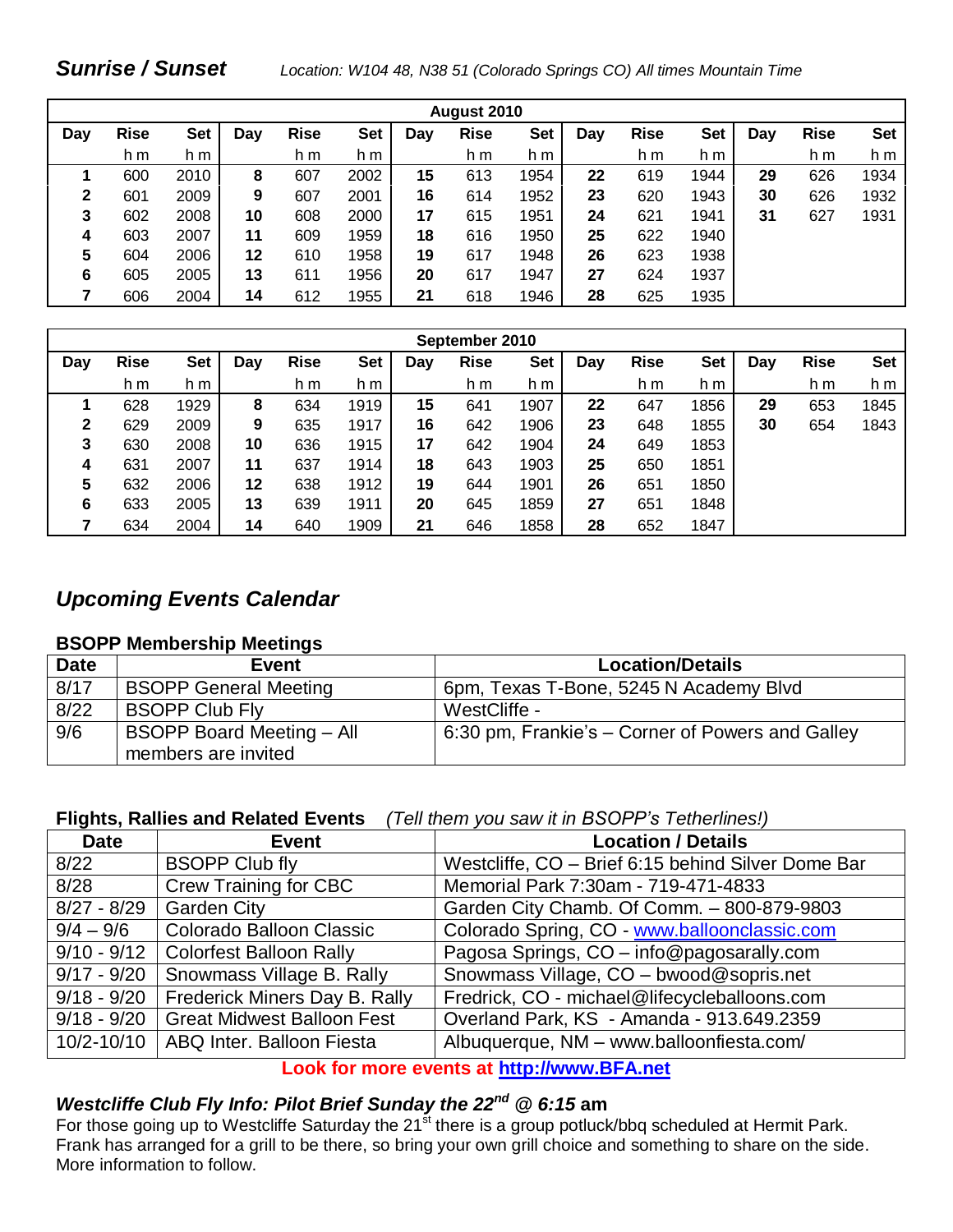### *Sunrise / Sunset Location: W104 48, N38 51 (Colorado Springs CO) All times Mountain Time*

| August 2010 |             |            |     |             |            |     |             |            |     |             |            |     |             |            |
|-------------|-------------|------------|-----|-------------|------------|-----|-------------|------------|-----|-------------|------------|-----|-------------|------------|
| Day         | <b>Rise</b> | <b>Set</b> | Day | <b>Rise</b> | <b>Set</b> | Day | <b>Rise</b> | <b>Set</b> | Day | <b>Rise</b> | <b>Set</b> | Dav | <b>Rise</b> | <b>Set</b> |
|             | h m         | h m        |     | h m         | h m        |     | h m         | h m        |     | h m         | h m        |     | h m         | h m        |
|             | 600         | 2010       | 8   | 607         | 2002       | 15  | 613         | 1954       | 22  | 619         | 1944       | 29  | 626         | 1934       |
| 2           | 601         | 2009       | 9   | 607         | 2001       | 16  | 614         | 1952       | 23  | 620         | 1943       | 30  | 626         | 1932       |
| 3           | 602         | 2008       | 10  | 608         | 2000       | 17  | 615         | 1951       | 24  | 621         | 1941       | 31  | 627         | 1931       |
| 4           | 603         | 2007       | 11  | 609         | 1959       | 18  | 616         | 1950       | 25  | 622         | 1940       |     |             |            |
| 5           | 604         | 2006       | 12  | 610         | 1958       | 19  | 617         | 1948       | 26  | 623         | 1938       |     |             |            |
| 6           | 605         | 2005       | 13  | 611         | 1956       | 20  | 617         | 1947       | 27  | 624         | 1937       |     |             |            |
|             | 606         | 2004       | 14  | 612         | 1955       | 21  | 618         | 1946       | 28  | 625         | 1935       |     |             |            |

| September 2010 |             |      |     |             |      |     |             |            |     |             |            |     |             |            |
|----------------|-------------|------|-----|-------------|------|-----|-------------|------------|-----|-------------|------------|-----|-------------|------------|
| Day            | <b>Rise</b> | Set  | Day | <b>Rise</b> | Set  | Day | <b>Rise</b> | <b>Set</b> | Day | <b>Rise</b> | <b>Set</b> | Day | <b>Rise</b> | <b>Set</b> |
|                | h m         | h m  |     | h m         | h m  |     | h m         | h m        |     | h m         | h m        |     | h m         | h m        |
|                | 628         | 1929 | 8   | 634         | 1919 | 15  | 641         | 1907       | 22  | 647         | 1856       | 29  | 653         | 1845       |
| 2              | 629         | 2009 | 9   | 635         | 1917 | 16  | 642         | 1906       | 23  | 648         | 1855       | 30  | 654         | 1843       |
| 3              | 630         | 2008 | 10  | 636         | 1915 | 17  | 642         | 1904       | 24  | 649         | 1853       |     |             |            |
| 4              | 631         | 2007 | 11  | 637         | 1914 | 18  | 643         | 1903       | 25  | 650         | 1851       |     |             |            |
| 5              | 632         | 2006 | 12  | 638         | 1912 | 19  | 644         | 1901       | 26  | 651         | 1850       |     |             |            |
| 6              | 633         | 2005 | 13  | 639         | 1911 | 20  | 645         | 1859       | 27  | 651         | 1848       |     |             |            |
|                | 634         | 2004 | 14  | 640         | 1909 | 21  | 646         | 1858       | 28  | 652         | 1847       |     |             |            |

### *Upcoming Events Calendar*

#### **BSOPP Membership Meetings**

| <b>Date</b> | <b>Event</b>                     | <b>Location/Details</b>                          |
|-------------|----------------------------------|--------------------------------------------------|
| 8/17        | <b>BSOPP General Meeting</b>     | 6pm, Texas T-Bone, 5245 N Academy Blvd           |
| 8/22        | <b>BSOPP Club Fly</b>            | WestCliffe -                                     |
| 9/6         | <b>BSOPP Board Meeting - All</b> | 6:30 pm, Frankie's – Corner of Powers and Galley |
|             | members are invited              |                                                  |

#### **Flights, Rallies and Related Events** *(Tell them you saw it in BSOPP's Tetherlines!)*

| <b>Date</b>   | <b>Event</b>                          | <b>Location / Details</b>                          |
|---------------|---------------------------------------|----------------------------------------------------|
| 8/22          | <b>BSOPP Club fly</b>                 | Westcliffe, CO - Brief 6:15 behind Silver Dome Bar |
| 8/28          | <b>Crew Training for CBC</b>          | Memorial Park 7:30am - 719-471-4833                |
| $8/27 - 8/29$ | <b>Garden City</b>                    | Garden City Chamb. Of Comm. - 800-879-9803         |
| $9/4 - 9/6$   | <b>Colorado Balloon Classic</b>       | Colorado Spring, CO - www.balloonclassic.com       |
|               | 9/10 - 9/12   Colorfest Balloon Rally | Pagosa Springs, CO - info@pagosarally.com          |
| $9/17 - 9/20$ | Snowmass Village B. Rally             | Snowmass Village, CO - bwood@sopris.net            |
| $9/18 - 9/20$ | Frederick Miners Day B. Rally         | Fredrick, CO - michael@lifecycleballoons.com       |
| $9/18 - 9/20$ | Great Midwest Balloon Fest            | Overland Park, KS - Amanda - 913.649.2359          |
| 10/2-10/10    | ABQ Inter. Balloon Fiesta             | Albuquerque, NM - www.balloonfiesta.com/           |

#### **Look for more events at [http://www.BFA.net](http://www.bfa.net/)**

# *Westcliffe Club Fly Info: Pilot Brief Sunday the 22nd @ 6:15* **am**

For those going up to Westcliffe Saturday the 21<sup>st</sup> there is a group potluck/bbq scheduled at Hermit Park. Frank has arranged for a grill to be there, so bring your own grill choice and something to share on the side. More information to follow.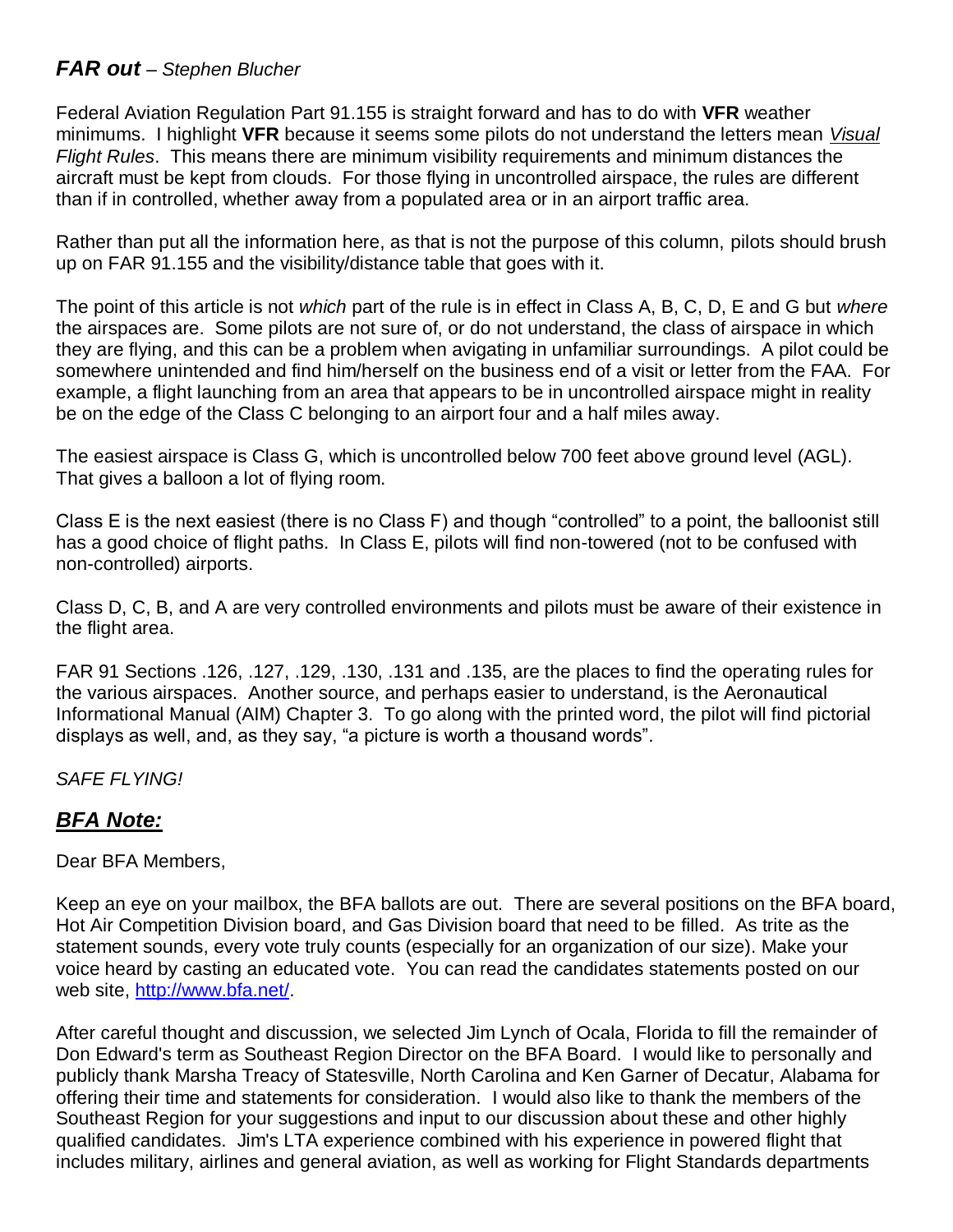### *FAR out – Stephen Blucher*

Federal Aviation Regulation Part 91.155 is straight forward and has to do with **VFR** weather minimums. I highlight **VFR** because it seems some pilots do not understand the letters mean *Visual Flight Rules*. This means there are minimum visibility requirements and minimum distances the aircraft must be kept from clouds. For those flying in uncontrolled airspace, the rules are different than if in controlled, whether away from a populated area or in an airport traffic area.

Rather than put all the information here, as that is not the purpose of this column, pilots should brush up on FAR 91.155 and the visibility/distance table that goes with it.

The point of this article is not *which* part of the rule is in effect in Class A, B, C, D, E and G but *where* the airspaces are. Some pilots are not sure of, or do not understand, the class of airspace in which they are flying, and this can be a problem when avigating in unfamiliar surroundings. A pilot could be somewhere unintended and find him/herself on the business end of a visit or letter from the FAA. For example, a flight launching from an area that appears to be in uncontrolled airspace might in reality be on the edge of the Class C belonging to an airport four and a half miles away.

The easiest airspace is Class G, which is uncontrolled below 700 feet above ground level (AGL). That gives a balloon a lot of flying room.

Class E is the next easiest (there is no Class F) and though "controlled" to a point, the balloonist still has a good choice of flight paths. In Class E, pilots will find non-towered (not to be confused with non-controlled) airports.

Class D, C, B, and A are very controlled environments and pilots must be aware of their existence in the flight area.

FAR 91 Sections .126, .127, .129, .130, .131 and .135, are the places to find the operating rules for the various airspaces. Another source, and perhaps easier to understand, is the Aeronautical Informational Manual (AIM) Chapter 3. To go along with the printed word, the pilot will find pictorial displays as well, and, as they say, "a picture is worth a thousand words".

*SAFE FLYING!* 

# *BFA Note:*

Dear BFA Members,

Keep an eye on your mailbox, the BFA ballots are out. There are several positions on the BFA board, Hot Air Competition Division board, and Gas Division board that need to be filled. As trite as the statement sounds, every vote truly counts (especially for an organization of our size). Make your voice heard by casting an educated vote. You can read the candidates statements posted on our web site, [http://www.bfa.net/.](http://www.bfa.net/)

After careful thought and discussion, we selected Jim Lynch of Ocala, Florida to fill the remainder of Don Edward's term as Southeast Region Director on the BFA Board. I would like to personally and publicly thank Marsha Treacy of Statesville, North Carolina and Ken Garner of Decatur, Alabama for offering their time and statements for consideration. I would also like to thank the members of the Southeast Region for your suggestions and input to our discussion about these and other highly qualified candidates. Jim's LTA experience combined with his experience in powered flight that includes military, airlines and general aviation, as well as working for Flight Standards departments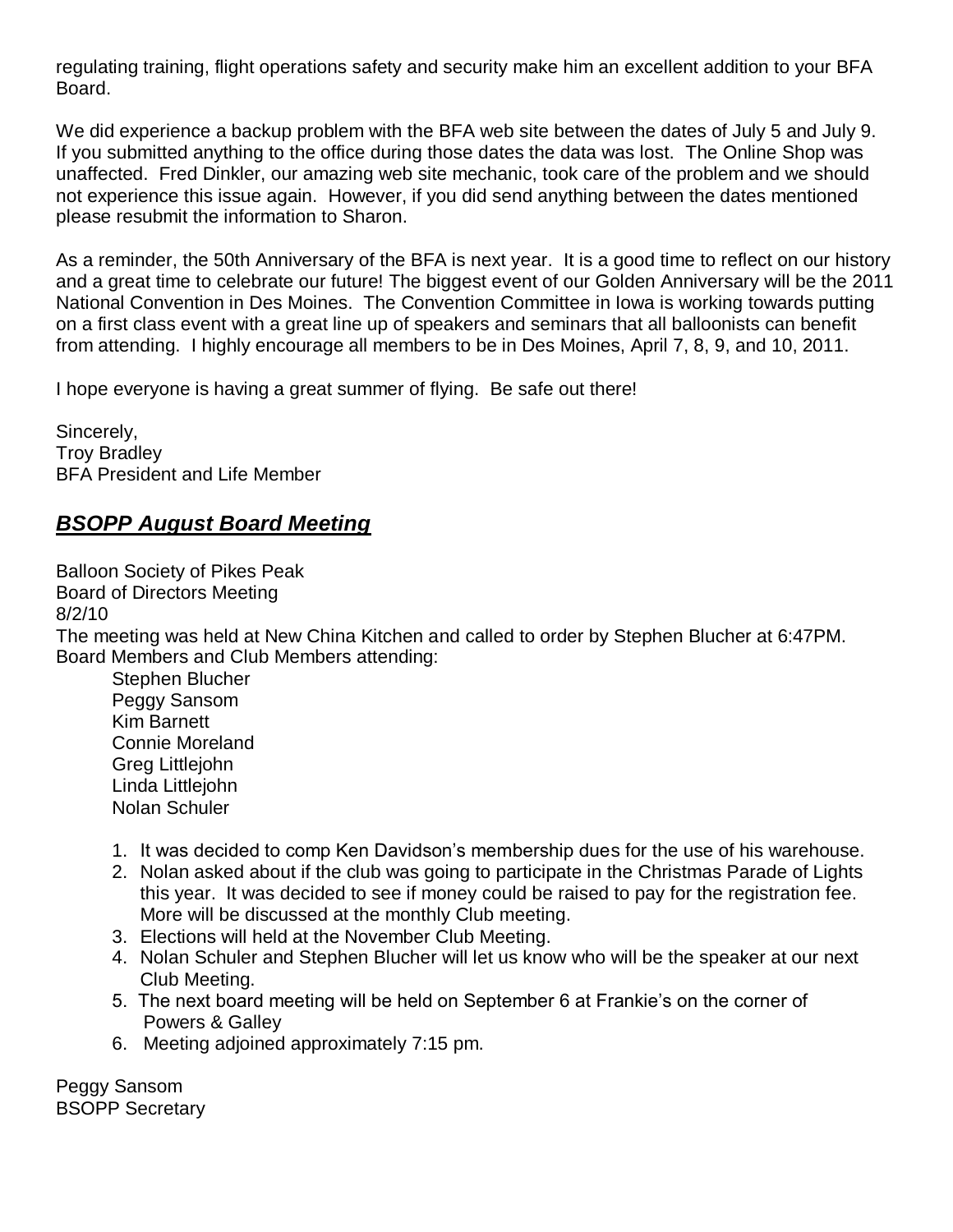regulating training, flight operations safety and security make him an excellent addition to your BFA Board.

We did experience a backup problem with the BFA web site between the dates of July 5 and July 9. If you submitted anything to the office during those dates the data was lost. The Online Shop was unaffected. Fred Dinkler, our amazing web site mechanic, took care of the problem and we should not experience this issue again. However, if you did send anything between the dates mentioned please resubmit the information to Sharon.

As a reminder, the 50th Anniversary of the BFA is next year. It is a good time to reflect on our history and a great time to celebrate our future! The biggest event of our Golden Anniversary will be the 2011 National Convention in Des Moines. The Convention Committee in Iowa is working towards putting on a first class event with a great line up of speakers and seminars that all balloonists can benefit from attending. I highly encourage all members to be in Des Moines, April 7, 8, 9, and 10, 2011.

I hope everyone is having a great summer of flying. Be safe out there!

Sincerely, Troy Bradley BFA President and Life Member

# *BSOPP August Board Meeting*

Balloon Society of Pikes Peak Board of Directors Meeting 8/2/10 The meeting was held at New China Kitchen and called to order by Stephen Blucher at 6:47PM. Board Members and Club Members attending: Stephen Blucher Peggy Sansom Kim Barnett Connie Moreland

Greg Littlejohn Linda Littlejohn Nolan Schuler

- 1. It was decided to comp Ken Davidson's membership dues for the use of his warehouse.
- 2. Nolan asked about if the club was going to participate in the Christmas Parade of Lights this year. It was decided to see if money could be raised to pay for the registration fee. More will be discussed at the monthly Club meeting.
- 3. Elections will held at the November Club Meeting.
- 4. Nolan Schuler and Stephen Blucher will let us know who will be the speaker at our next Club Meeting.
- 5. The next board meeting will be held on September 6 at Frankie's on the corner of Powers & Galley
- 6. Meeting adjoined approximately 7:15 pm.

Peggy Sansom BSOPP Secretary